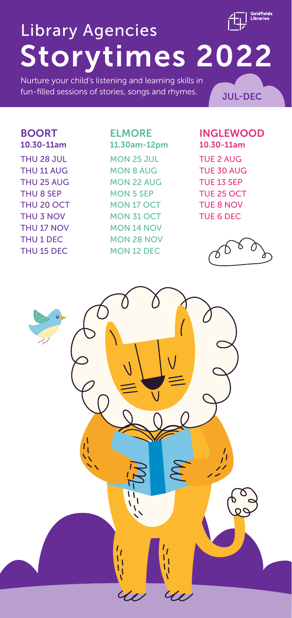# Storytimes 2022 Library Agencies

Nurture your child's listening and learning skills in fun-filled sessions of stories, songs and rhymes. **JUL-DEC** 

### BOORT 10.30-11am THU 28 JUL THU 11 AUG

THU 25 AUG THU 8 SEP THU 20 OCT THU 3 NOV THU 17 NOV THU 1 DEC THU 15 DEC

#### ELMORE

11.30am-12pm MON 25 JUL MON 8 AUG MON 22 AUG MON 5 SEP MON 17 OCT MON 31 OCT MON 14 NOV MON 28 NOV MON 12 DEC

#### INGLEWOOD 10.30-11am

TUE 2 AUG TUE 30 AUG TUE 13 SEP TUE 25 OCT TUE 8 NOV TUE 6 DEC